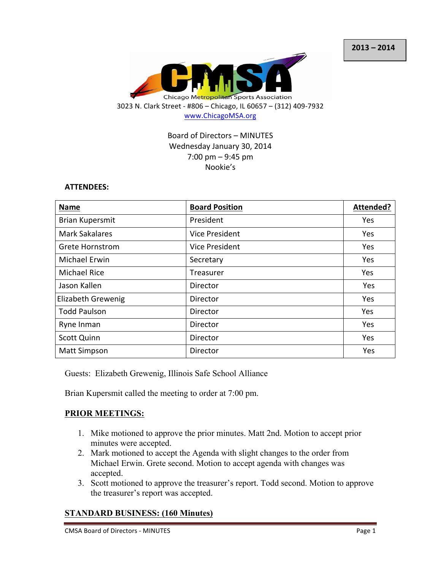

# Board of Directors - MINUTES Wednesday January 30, 2014  $7:00 \text{ pm} - 9:45 \text{ pm}$ Nookie's

#### **ATTENDEES:**

| <b>Name</b>               | <b>Board Position</b> | Attended? |
|---------------------------|-----------------------|-----------|
| <b>Brian Kupersmit</b>    | President             | Yes       |
| <b>Mark Sakalares</b>     | Vice President        | Yes       |
| <b>Grete Hornstrom</b>    | Vice President        | Yes       |
| <b>Michael Erwin</b>      | Secretary             | Yes       |
| <b>Michael Rice</b>       | Treasurer             | Yes       |
| Jason Kallen              | Director              | Yes       |
| <b>Elizabeth Grewenig</b> | Director              | Yes       |
| <b>Todd Paulson</b>       | Director              | Yes       |
| Ryne Inman                | Director              | Yes       |
| <b>Scott Quinn</b>        | Director              | Yes       |
| <b>Matt Simpson</b>       | Director              | Yes       |

Guests: Elizabeth Grewenig, Illinois Safe School Alliance

Brian Kupersmit called the meeting to order at 7:00 pm.

## **PRIOR MEETINGS:**

- 1. Mike motioned to approve the prior minutes. Matt 2nd. Motion to accept prior minutes were accepted.
- 2. Mark motioned to accept the Agenda with slight changes to the order from Michael Erwin. Grete second. Motion to accept agenda with changes was accepted.
- 3. Scott motioned to approve the treasurer's report. Todd second. Motion to approve the treasurer's report was accepted.

# **STANDARD BUSINESS: (160 Minutes)**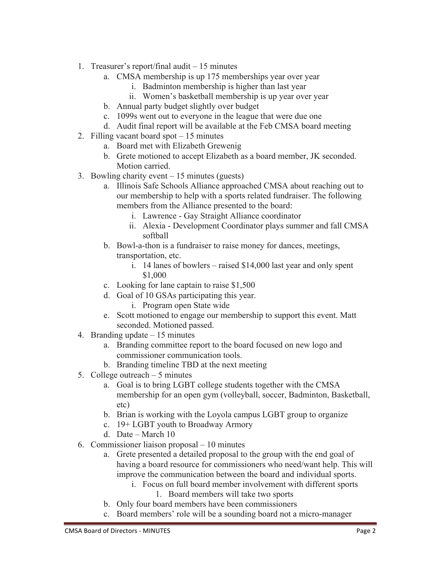- 1. Treasurer's report/final audit 15 minutes
	- a. CMSA membership is up 175 memberships year over year
		- i. Badminton membership is higher than last year
		- ii. Women's basketball membership is up year over year
	- b. Annual party budget slightly over budget
	- c. 1099s went out to everyone in the league that were due one
	- d. Audit final report will be available at the Feb CMSA board meeting
- 2. Filling vacant board spot 15 minutes
	- a. Board met with Elizabeth Grewenig
	- b. Grete motioned to accept Elizabeth as a board member, JK seconded. Motion carried.
- 3. Bowling charity event 15 minutes (guests)
	- a. Illinois Safe Schools Alliance approached CMSA about reaching out to our membership to help with a sports related fundraiser. The following members from the Alliance presented to the board:
		- i. Lawrence Gay Straight Alliance coordinator
		- ii. Alexia Development Coordinator plays summer and fall CMSA softball
	- b. Bowl-a-thon is a fundraiser to raise money for dances, meetings, transportation, etc.
		- i. 14 lanes of bowlers raised \$14,000 last year and only spent \$1,000
	- c. Looking for lane captain to raise \$1,500
	- d. Goal of 10 GSAs participating this year.
		- i. Program open State wide
	- e. Scott motioned to engage our membership to support this event. Matt seconded. Motioned passed.
- 4. Branding update 15 minutes
	- a. Branding committee report to the board focused on new logo and commissioner communication tools.
	- b. Branding timeline TBD at the next meeting
- 5. College outreach 5 minutes
	- a. Goal is to bring LGBT college students together with the CMSA membership for an open gym (volleyball, soccer, Badminton, Basketball, etc)
	- b. Brian is working with the Loyola campus LGBT group to organize
	- c. 19+ LGBT youth to Broadway Armory
	- d. Date March 10
- 6. Commissioner liaison proposal 10 minutes
	- a. Grete presented a detailed proposal to the group with the end goal of having a board resource for commissioners who need/want help. This will improve the communication between the board and individual sports.
		- i. Focus on full board member involvement with different sports
			- 1. Board members will take two sports
	- b. Only four board members have been commissioners
	- c. Board members' role will be a sounding board not a micro-manager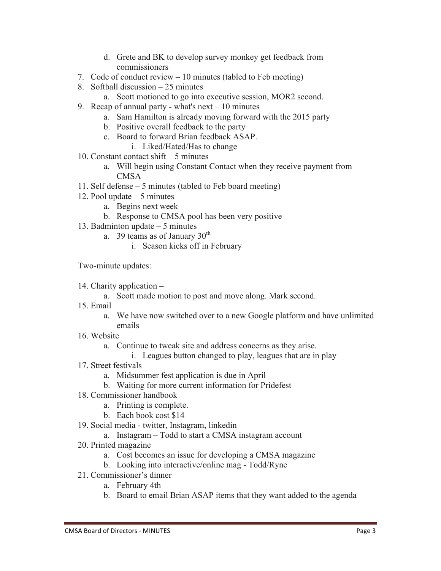- d. Grete and BK to develop survey monkey get feedback from commissioners
- 7. Code of conduct review 10 minutes (tabled to Feb meeting)
- 8. Softball discussion 25 minutes
	- a. Scott motioned to go into executive session, MOR2 second.
- 9. Recap of annual party what's next 10 minutes
	- a. Sam Hamilton is already moving forward with the 2015 party
	- b. Positive overall feedback to the party
	- c. Board to forward Brian feedback ASAP.
		- i. Liked/Hated/Has to change
- 10. Constant contact shift 5 minutes
	- a. Will begin using Constant Contact when they receive payment from CMSA
- 11. Self defense 5 minutes (tabled to Feb board meeting)
- 12. Pool update 5 minutes
	- a. Begins next week
	- b. Response to CMSA pool has been very positive
- 13. Badminton update 5 minutes
	- a. 39 teams as of January  $30<sup>th</sup>$ 
		- i. Season kicks off in February

Two-minute updates:

- 14. Charity application
	- a. Scott made motion to post and move along. Mark second.
- 15. Email
	- a. We have now switched over to a new Google platform and have unlimited emails
- 16. Website
	- a. Continue to tweak site and address concerns as they arise.
	- i. Leagues button changed to play, leagues that are in play
- 17. Street festivals
	- a. Midsummer fest application is due in April
	- b. Waiting for more current information for Pridefest
- 18. Commissioner handbook
	- a. Printing is complete.
	- b. Each book cost \$14
- 19. Social media twitter, Instagram, linkedin
	- a. Instagram Todd to start a CMSA instagram account
- 20. Printed magazine
	- a. Cost becomes an issue for developing a CMSA magazine
	- b. Looking into interactive/online mag Todd/Ryne
- 21. Commissioner's dinner
	- a. February 4th
	- b. Board to email Brian ASAP items that they want added to the agenda